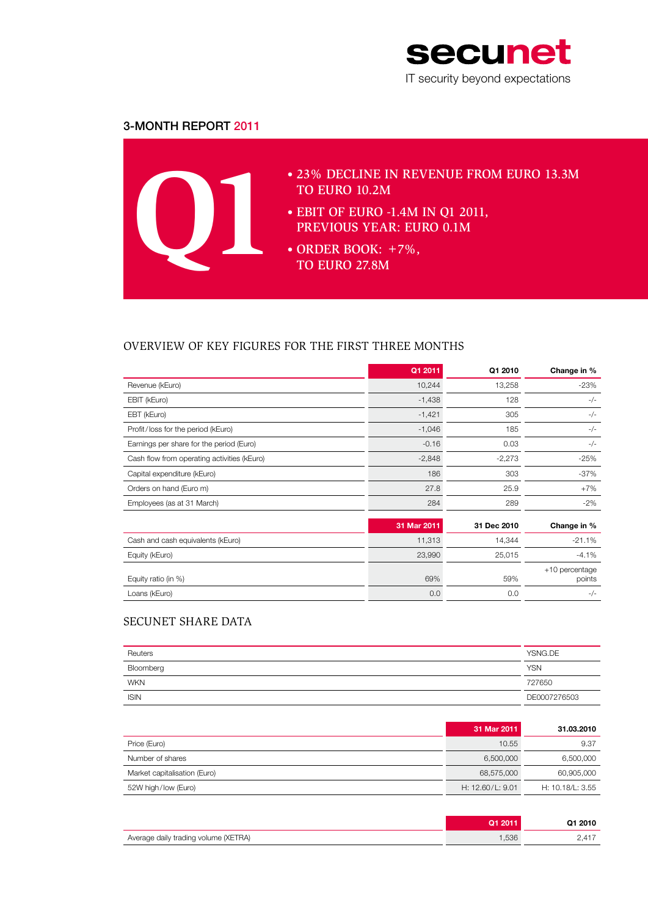

# 3-Month Report 2011



# Overview of key figures for the first three months

|                                             | Q1 2011     | Q1 2010     | Change in %                |
|---------------------------------------------|-------------|-------------|----------------------------|
| Revenue (kEuro)                             | 10,244      | 13,258      | $-23%$                     |
| EBIT (kEuro)                                | $-1,438$    | 128         | $-/-$                      |
| EBT (kEuro)                                 | $-1,421$    | 305         | $-/-$                      |
| Profit/loss for the period (kEuro)          | $-1,046$    | 185         | $-/-$                      |
| Earnings per share for the period (Euro)    | $-0.16$     | 0.03        | $-/-$                      |
| Cash flow from operating activities (kEuro) | $-2,848$    | $-2,273$    | $-25%$                     |
| Capital expenditure (kEuro)                 | 186         | 303         | $-37\%$                    |
| Orders on hand (Euro m)                     | 27.8        | 25.9        | $+7%$                      |
| Employees (as at 31 March)                  | 284         | 289         | $-2\%$                     |
|                                             | 31 Mar 2011 | 31 Dec 2010 | Change in %                |
| Cash and cash equivalents (kEuro)           | 11,313      | 14,344      | $-21.1%$                   |
| Equity (kEuro)                              | 23,990      | 25,015      | $-4.1%$                    |
| Equity ratio (in %)                         | 69%         | 59%         | $+10$ percentage<br>points |
| Loans (kEuro)                               | 0.0         | 0.0         | $-/-$                      |

# secunet share data

| Reuters     | YSNG.DE      |
|-------------|--------------|
| Bloomberg   | <b>YSN</b>   |
| <b>WKN</b>  | 727650       |
| <b>ISIN</b> | DE0007276503 |

|                              | 31 Mar 2011      | 31.03.2010       |
|------------------------------|------------------|------------------|
| Price (Euro)                 | 10.55            | 9.37             |
| Number of shares             | 6,500,000        | 6,500,000        |
| Market capitalisation (Euro) | 68,575,000       | 60,905,000       |
| 52W high/low (Euro)          | H: 12.60/L: 9.01 | H: 10.18/L: 3.55 |

|                                      |      | Q1 2010 |
|--------------------------------------|------|---------|
| Average daily trading volume (XETRA) | ,536 |         |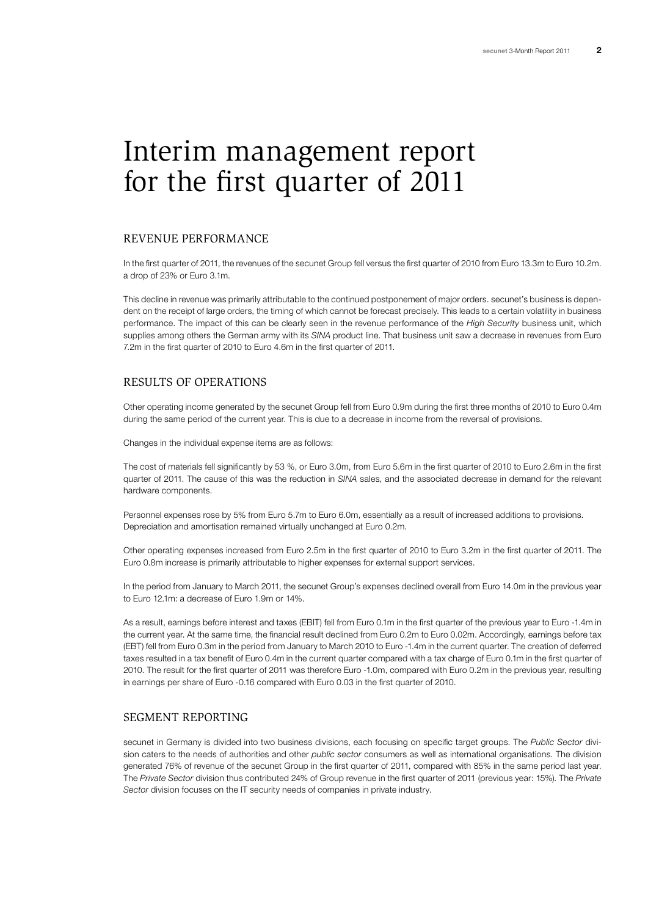# Interim management report for the first quarter of 2011

### Revenue performance

In the first quarter of 2011, the revenues of the secunet Group fell versus the first quarter of 2010 from Euro 13.3m to Euro 10.2m. a drop of 23% or Euro 3.1m.

This decline in revenue was primarily attributable to the continued postponement of major orders. secunet's business is dependent on the receipt of large orders, the timing of which cannot be forecast precisely. This leads to a certain volatility in business performance. The impact of this can be clearly seen in the revenue performance of the *High Security* business unit, which supplies among others the German army with its *SINA* product line. That business unit saw a decrease in revenues from Euro 7.2m in the first quarter of 2010 to Euro 4.6m in the first quarter of 2011.

## Results of operations

Other operating income generated by the secunet Group fell from Euro 0.9m during the first three months of 2010 to Euro 0.4m during the same period of the current year. This is due to a decrease in income from the reversal of provisions.

Changes in the individual expense items are as follows:

The cost of materials fell significantly by 53 %, or Euro 3.0m, from Euro 5.6m in the first quarter of 2010 to Euro 2.6m in the first quarter of 2011. The cause of this was the reduction in *SINA* sales, and the associated decrease in demand for the relevant hardware components.

Personnel expenses rose by 5% from Euro 5.7m to Euro 6.0m, essentially as a result of increased additions to provisions. Depreciation and amortisation remained virtually unchanged at Euro 0.2m.

Other operating expenses increased from Euro 2.5m in the first quarter of 2010 to Euro 3.2m in the first quarter of 2011. The Euro 0.8m increase is primarily attributable to higher expenses for external support services.

In the period from January to March 2011, the secunet Group's expenses declined overall from Euro 14.0m in the previous year to Euro 12.1m: a decrease of Euro 1.9m or 14%.

As a result, earnings before interest and taxes (EBIT) fell from Euro 0.1m in the first quarter of the previous year to Euro -1.4m in the current year. At the same time, the financial result declined from Euro 0.2m to Euro 0.02m. Accordingly, earnings before tax (EBT) fell from Euro 0.3m in the period from January to March 2010 to Euro -1.4m in the current quarter. The creation of deferred taxes resulted in a tax benefit of Euro 0.4m in the current quarter compared with a tax charge of Euro 0.1m in the first quarter of 2010. The result for the first quarter of 2011 was therefore Euro -1.0m, compared with Euro 0.2m in the previous year, resulting in earnings per share of Euro -0.16 compared with Euro 0.03 in the first quarter of 2010.

#### Segment reporting

secunet in Germany is divided into two business divisions, each focusing on specific target groups. The *Public Sector* division caters to the needs of authorities and other *public sector* consumers as well as international organisations. The division generated 76% of revenue of the secunet Group in the first quarter of 2011, compared with 85% in the same period last year. The *Private Sector* division thus contributed 24% of Group revenue in the first quarter of 2011 (previous year: 15%). The *Private Sector* division focuses on the IT security needs of companies in private industry.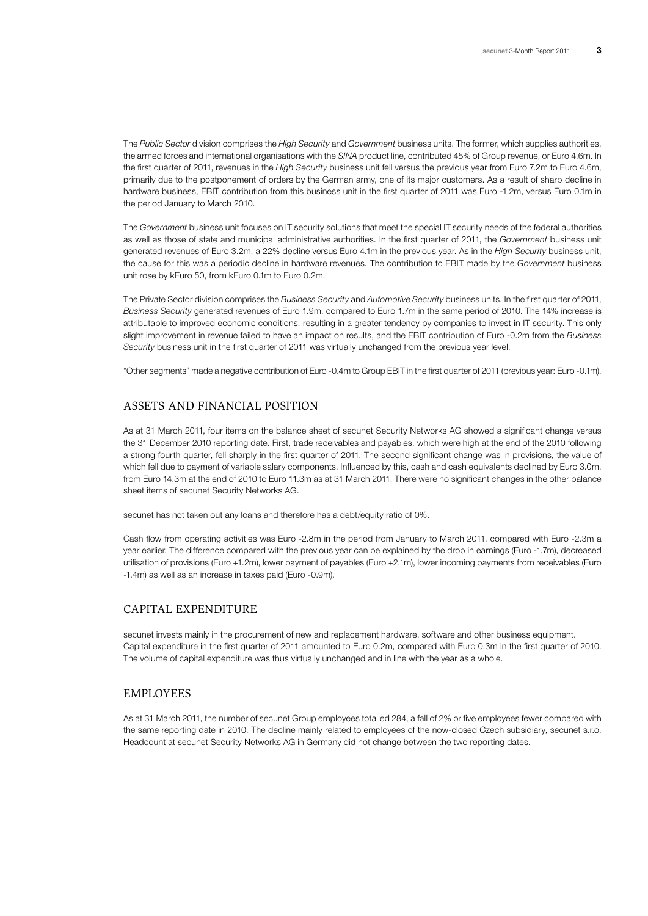The *Public Sector* division comprises the *High Security* and *Government* business units. The former, which supplies authorities, the armed forces and international organisations with the *SINA* product line, contributed 45% of Group revenue, or Euro 4.6m. In the first quarter of 2011, revenues in the *High Security* business unit fell versus the previous year from Euro 7.2m to Euro 4.6m, primarily due to the postponement of orders by the German army, one of its major customers. As a result of sharp decline in hardware business, EBIT contribution from this business unit in the first quarter of 2011 was Euro -1.2m, versus Euro 0.1m in the period January to March 2010.

The *Government* business unit focuses on IT security solutions that meet the special IT security needs of the federal authorities as well as those of state and municipal administrative authorities. In the first quarter of 2011, the *Government* business unit generated revenues of Euro 3.2m, a 22% decline versus Euro 4.1m in the previous year. As in the *High Security* business unit, the cause for this was a periodic decline in hardware revenues. The contribution to EBIT made by the *Government* business unit rose by kEuro 50, from kEuro 0.1m to Euro 0.2m.

The Private Sector division comprises the *Business Security* and *Automotive Security* business units. In the first quarter of 2011, *Business Security* generated revenues of Euro 1.9m, compared to Euro 1.7m in the same period of 2010. The 14% increase is attributable to improved economic conditions, resulting in a greater tendency by companies to invest in IT security. This only slight improvement in revenue failed to have an impact on results, and the EBIT contribution of Euro -0.2m from the *Business Security* business unit in the first quarter of 2011 was virtually unchanged from the previous year level.

"Other segments" made a negative contribution of Euro -0.4m to Group EBIT in the first quarter of 2011 (previous year: Euro -0.1m).

### Assets and financial position

As at 31 March 2011, four items on the balance sheet of secunet Security Networks AG showed a significant change versus the 31 December 2010 reporting date. First, trade receivables and payables, which were high at the end of the 2010 following a strong fourth quarter, fell sharply in the first quarter of 2011. The second significant change was in provisions, the value of which fell due to payment of variable salary components. Influenced by this, cash and cash equivalents declined by Euro 3.0m, from Euro 14.3m at the end of 2010 to Euro 11.3m as at 31 March 2011. There were no significant changes in the other balance sheet items of secunet Security Networks AG.

secunet has not taken out any loans and therefore has a debt/equity ratio of 0%.

Cash flow from operating activities was Euro -2.8m in the period from January to March 2011, compared with Euro -2.3m a year earlier. The difference compared with the previous year can be explained by the drop in earnings (Euro -1.7m), decreased utilisation of provisions (Euro +1.2m), lower payment of payables (Euro +2.1m), lower incoming payments from receivables (Euro -1.4m) as well as an increase in taxes paid (Euro -0.9m).

## Capital expenditure

secunet invests mainly in the procurement of new and replacement hardware, software and other business equipment. Capital expenditure in the first quarter of 2011 amounted to Euro 0.2m, compared with Euro 0.3m in the first quarter of 2010. The volume of capital expenditure was thus virtually unchanged and in line with the year as a whole.

#### **EMPLOYEES**

As at 31 March 2011, the number of secunet Group employees totalled 284, a fall of 2% or five employees fewer compared with the same reporting date in 2010. The decline mainly related to employees of the now-closed Czech subsidiary, secunet s.r.o. Headcount at secunet Security Networks AG in Germany did not change between the two reporting dates.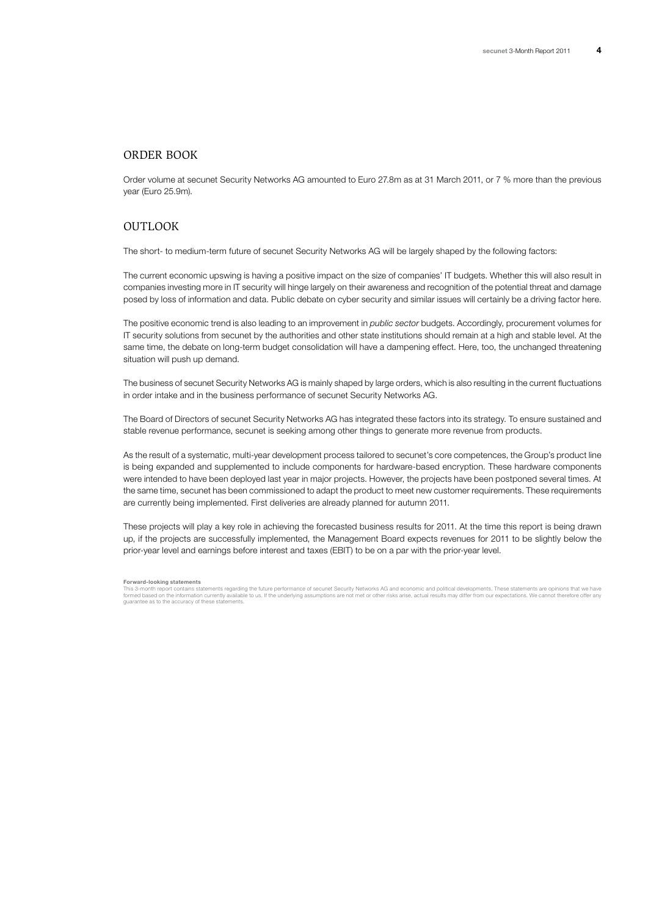## Order book

Order volume at secunet Security Networks AG amounted to Euro 27.8m as at 31 March 2011, or 7 % more than the previous year (Euro 25.9m).

# OUTLOOK

The short- to medium-term future of secunet Security Networks AG will be largely shaped by the following factors:

The current economic upswing is having a positive impact on the size of companies' IT budgets. Whether this will also result in companies investing more in IT security will hinge largely on their awareness and recognition of the potential threat and damage posed by loss of information and data. Public debate on cyber security and similar issues will certainly be a driving factor here.

The positive economic trend is also leading to an improvement in *public sector* budgets. Accordingly, procurement volumes for IT security solutions from secunet by the authorities and other state institutions should remain at a high and stable level. At the same time, the debate on long-term budget consolidation will have a dampening effect. Here, too, the unchanged threatening situation will push up demand.

The business of secunet Security Networks AG is mainly shaped by large orders, which is also resulting in the current fluctuations in order intake and in the business performance of secunet Security Networks AG.

The Board of Directors of secunet Security Networks AG has integrated these factors into its strategy. To ensure sustained and stable revenue performance, secunet is seeking among other things to generate more revenue from products.

As the result of a systematic, multi-year development process tailored to secunet's core competences, the Group's product line is being expanded and supplemented to include components for hardware-based encryption. These hardware components were intended to have been deployed last year in major projects. However, the projects have been postponed several times. At the same time, secunet has been commissioned to adapt the product to meet new customer requirements. These requirements are currently being implemented. First deliveries are already planned for autumn 2011.

These projects will play a key role in achieving the forecasted business results for 2011. At the time this report is being drawn up, if the projects are successfully implemented, the Management Board expects revenues for 2011 to be slightly below the prior-year level and earnings before interest and taxes (EBIT) to be on a par with the prior-year level.

**Forward-looking statements**

This 3-month report contains statements regarding the future performance of secunet Security Networks AG and economic and political developments. These statements are opinions that we have<br>formed based on the information c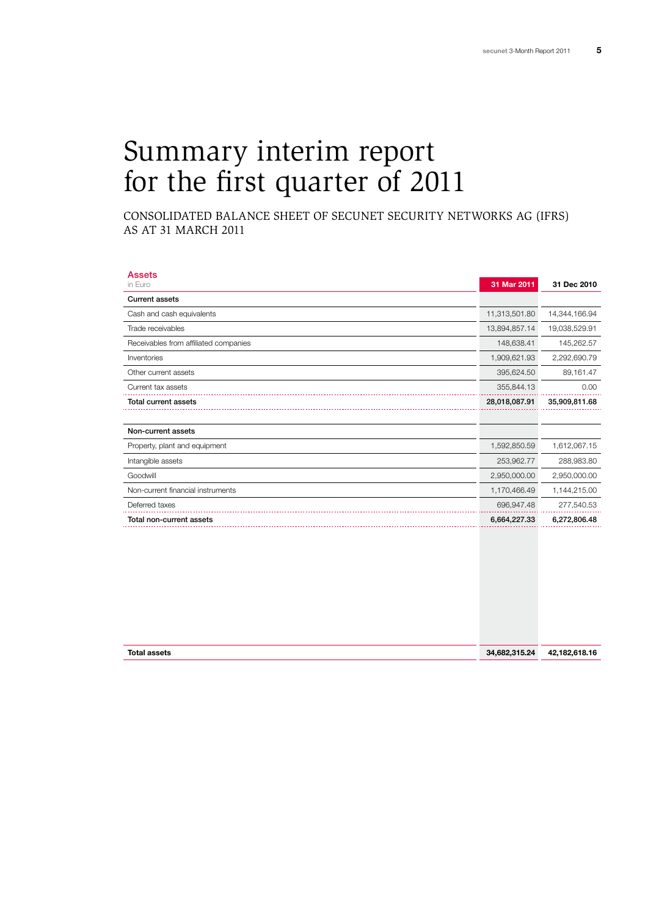# Summary interim report for the first quarter of 2011

Consolidated Balance Sheet of secunet Security Networks AG (IFRS) as at 31 March 2011

| <b>Assets</b>                         |               |               |
|---------------------------------------|---------------|---------------|
| in Euro                               | 31 Mar 2011   | 31 Dec 2010   |
| <b>Current assets</b>                 |               |               |
| Cash and cash equivalents             | 11,313,501.80 | 14,344,166.94 |
| Trade receivables                     | 13,894,857.14 | 19,038,529.91 |
| Receivables from affiliated companies | 148,638.41    | 145,262.57    |
| Inventories                           | 1,909,621.93  | 2,292,690.79  |
| Other current assets                  | 395,624.50    | 89,161.47     |
| Current tax assets                    | 355,844.13    | 0.00          |
| <b>Total current assets</b>           | 28,018,087.91 | 35,909,811.68 |
|                                       |               |               |
| Non-current assets                    |               |               |
| Property, plant and equipment         | 1,592,850.59  | 1,612,067.15  |
| Intangible assets                     | 253,962.77    | 288,983.80    |
| Goodwill                              | 2,950,000.00  | 2,950,000.00  |
| Non-current financial instruments     | 1,170,466.49  | 1,144,215.00  |
| Deferred taxes                        | 696,947.48    | 277,540.53    |
| Total non-current assets              | 6,664,227.33  | 6,272,806.48  |
|                                       |               |               |

| <b>Total assets</b> | 34,682,315.24 | .182.618.16<br>42. |
|---------------------|---------------|--------------------|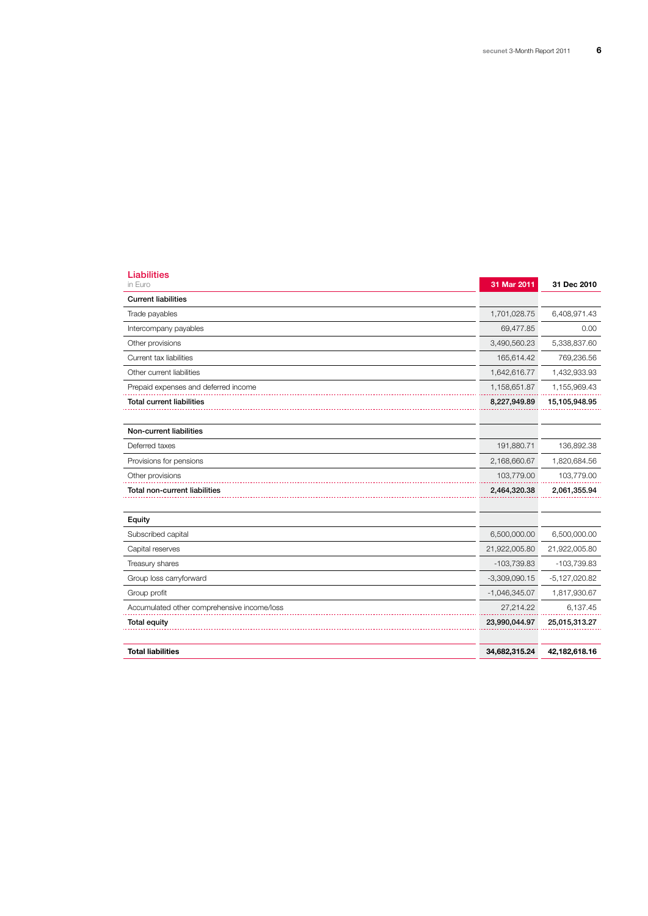| <b>Liabilities</b><br>in Euro               | 31 Mar 2011     | 31 Dec 2010     |
|---------------------------------------------|-----------------|-----------------|
| <b>Current liabilities</b>                  |                 |                 |
| Trade payables                              | 1,701,028.75    | 6,408,971.43    |
| Intercompany payables                       | 69,477.85       | 0.00            |
| Other provisions                            | 3,490,560.23    | 5,338,837.60    |
| Current tax liabilities                     | 165,614.42      | 769,236.56      |
| Other current liabilities                   | 1,642,616.77    | 1,432,933.93    |
| Prepaid expenses and deferred income        | 1,158,651.87    | 1,155,969.43    |
| <b>Total current liabilities</b>            | 8,227,949.89    | 15,105,948.95   |
| Non-current liabilities                     |                 |                 |
| Deferred taxes                              | 191,880.71      | 136,892.38      |
| Provisions for pensions                     | 2,168,660.67    | 1,820,684.56    |
| Other provisions                            | 103,779.00      | 103,779.00      |
| Total non-current liabilities               | 2,464,320.38    | 2,061,355.94    |
| Equity                                      |                 |                 |
| Subscribed capital                          | 6,500,000.00    | 6,500,000.00    |
| Capital reserves                            | 21,922,005.80   | 21,922,005.80   |
| Treasury shares                             | $-103,739.83$   | $-103,739.83$   |
| Group loss carryforward                     | $-3,309,090.15$ | $-5,127,020.82$ |
| Group profit                                | $-1,046,345.07$ | 1,817,930.67    |
| Accumulated other comprehensive income/loss | 27,214.22       | 6,137.45        |
| <b>Total equity</b>                         | 23,990,044.97   | 25,015,313.27   |
| <b>Total liabilities</b>                    | 34,682,315.24   | 42,182,618.16   |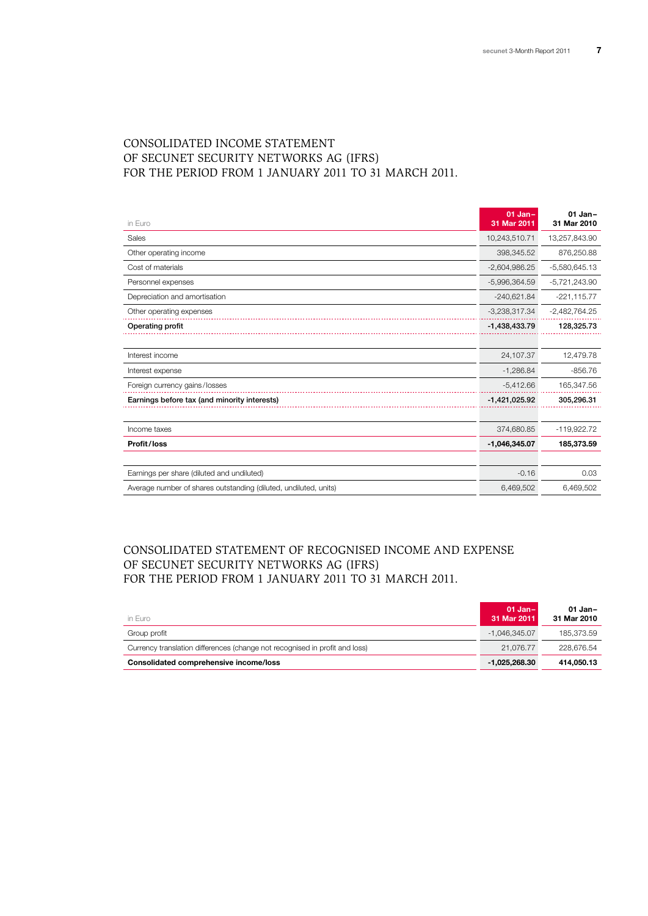# Consolidated Income Statement of secunet Security Networks AG (IFRS) for the period from 1 January 2011 to 31 March 2011.

| in Euro                                                          | $01$ Jan-<br>31 Mar 2011 | $01$ Jan-<br>31 Mar 2010 |
|------------------------------------------------------------------|--------------------------|--------------------------|
| Sales                                                            | 10,243,510.71            | 13,257,843.90            |
| Other operating income                                           | 398,345.52               | 876,250.88               |
| Cost of materials                                                | $-2,604,986.25$          | $-5,580,645.13$          |
| Personnel expenses                                               | $-5,996,364.59$          | $-5,721,243.90$          |
| Depreciation and amortisation                                    | $-240,621.84$            | $-221,115.77$            |
| Other operating expenses                                         | $-3,238,317.34$          | $-2,482,764.25$          |
| Operating profit                                                 | $-1,438,433.79$          | 128,325.73               |
|                                                                  |                          |                          |
| Interest income                                                  | 24,107.37                | 12,479.78                |
| Interest expense                                                 | $-1,286.84$              | $-856.76$                |
| Foreign currency gains/losses                                    | $-5,412.66$              | 165,347.56               |
| Earnings before tax (and minority interests)                     | $-1,421,025.92$          | 305,296.31               |
|                                                                  |                          |                          |
| Income taxes                                                     | 374,680.85               | -119,922.72              |
| Profit/loss                                                      | $-1,046,345.07$          | 185,373.59               |
|                                                                  |                          |                          |
| Earnings per share (diluted and undiluted)                       | $-0.16$                  | 0.03                     |
| Average number of shares outstanding (diluted, undiluted, units) | 6,469,502                | 6,469,502                |

# Consolidated statement of recognised income and expense of secunet Security Networks AG (IFRS) for the period from 1 January 2011 to 31 March 2011.

| in Euro                                                                     | $01$ Jan-<br>31 Mar 2011 | 01 Jan-<br>31 Mar 2010 |
|-----------------------------------------------------------------------------|--------------------------|------------------------|
| Group profit                                                                | -1.046.345.07            | 185.373.59             |
| Currency translation differences (change not recognised in profit and loss) | 21.076.77                | 228.676.54             |
| Consolidated comprehensive income/loss                                      | $-1.025.268.30$          | 414.050.13             |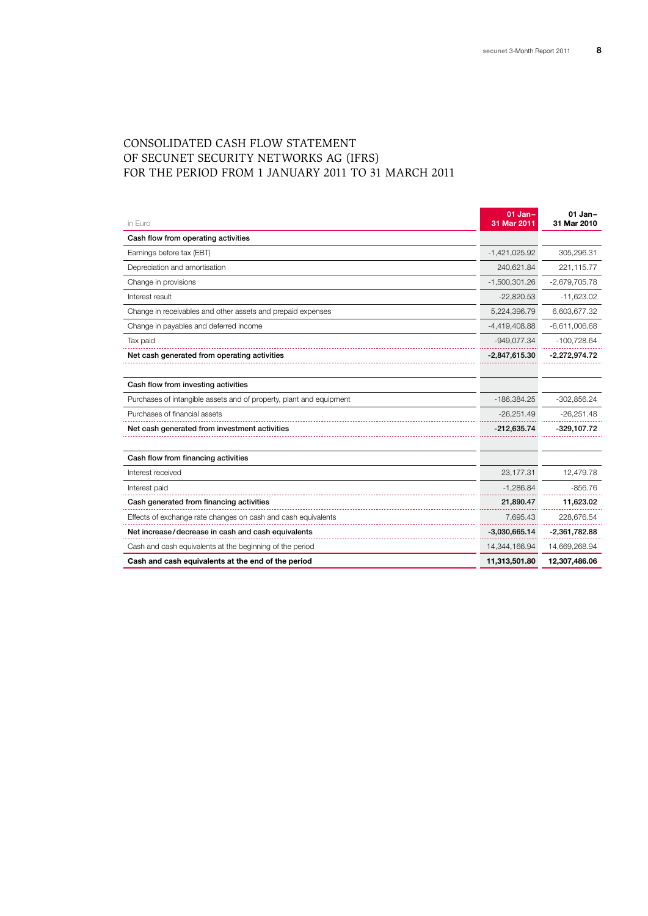# Consolidated Cash Flow Statement of secunet Security Networks AG (IFRS) for the period from 1 January 2011 to 31 March 2011

| in Euro                                                             | $01$ Jan-<br>31 Mar 2011 | $01$ Jan-<br>31 Mar 2010 |
|---------------------------------------------------------------------|--------------------------|--------------------------|
| Cash flow from operating activities                                 |                          |                          |
| Earnings before tax (EBT)                                           | $-1,421,025.92$          | 305,296.31               |
| Depreciation and amortisation                                       | 240,621.84               | 221,115.77               |
| Change in provisions                                                | $-1,500,301.26$          | $-2,679,705.78$          |
| Interest result                                                     | $-22,820.53$             | $-11,623.02$             |
| Change in receivables and other assets and prepaid expenses         | 5,224,396.79             | 6,603,677.32             |
| Change in payables and deferred income                              | $-4,419,408.88$          | $-6,611,006.68$          |
| Tax paid                                                            | $-949,077.34$            | $-100,728.64$            |
| Net cash generated from operating activities                        | $-2,847,615.30$          | $-2,272,974.72$          |
|                                                                     |                          |                          |
| Cash flow from investing activities                                 |                          |                          |
| Purchases of intangible assets and of property, plant and equipment | $-186,384.25$            | $-302,856.24$            |
| Purchases of financial assets                                       | $-26,251.49$             | $-26,251.48$             |
| Net cash generated from investment activities                       | $-212,635.74$            | $-329,107.72$            |
|                                                                     |                          |                          |
| Cash flow from financing activities                                 |                          |                          |
| Interest received                                                   | 23,177.31                | 12,479.78                |
| Interest paid                                                       | $-1,286.84$              | $-856.76$                |
| Cash generated from financing activities                            | 21,890.47                | 11,623.02                |
| Effects of exchange rate changes on cash and cash equivalents       | 7,695.43                 | 228,676.54               |
| Net increase/decrease in cash and cash equivalents                  | $-3,030,665.14$          | $-2,361,782.88$          |
| Cash and cash equivalents at the beginning of the period            | 14,344,166.94            | 14,669,268.94            |
| Cash and cash equivalents at the end of the period                  | 11,313,501.80            | 12,307,486.06            |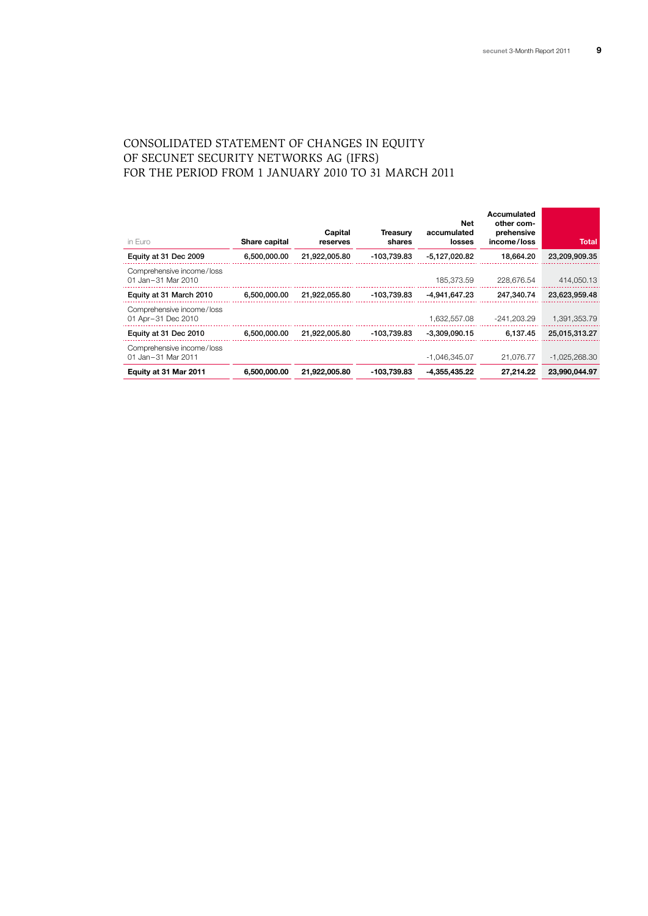# Consolidated Statement of Changes in Equity of secunet Security Networks AG (IFRS) for the period from 1 January 2010 to 31 March 2011

| in Euro                                         | Share capital | Capital<br>reserves | <b>Treasurv</b><br>shares | <b>Net</b><br>accumulated<br>losses | Accumulated<br>other com-<br>prehensive<br>income/loss | Total           |
|-------------------------------------------------|---------------|---------------------|---------------------------|-------------------------------------|--------------------------------------------------------|-----------------|
| Equity at 31 Dec 2009                           | 6,500,000.00  | 21.922.005.80       | -103.739.83               | $-5.127.020.82$                     | 18.664.20                                              | 23,209,909.35   |
| Comprehensive income/loss<br>01 Jan-31 Mar 2010 |               |                     |                           | 185.373.59                          | 228.676.54                                             | 414.050.13      |
| Equity at 31 March 2010                         | 6,500,000.00  | 21,922,055.80       | -103,739.83               | -4.941.647.23                       | 247.340.74                                             | 23,623,959.48   |
| Comprehensive income/loss<br>01 Apr-31 Dec 2010 |               |                     |                           | 1.632.557.08                        | $-241.203.29$                                          | 1,391,353.79    |
| Equity at 31 Dec 2010                           | 6.500.000.00  | 21.922.005.80       | -103.739.83               | $-3.309.090.15$                     | 6.137.45                                               | 25,015,313.27   |
| Comprehensive income/loss<br>01 Jan-31 Mar 2011 |               |                     |                           | $-1,046,345.07$                     | 21.076.77                                              | $-1,025,268.30$ |
| Equity at 31 Mar 2011                           | 6,500,000,00  | 21.922.005.80       | -103.739.83               | $-4.355.435.22$                     | 27.214.22                                              | 23.990.044.97   |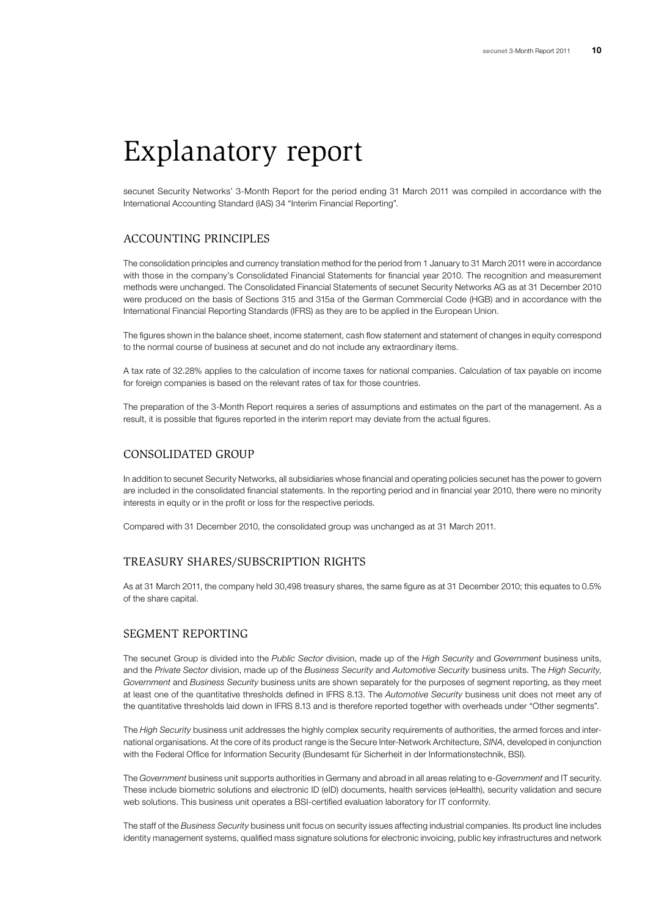# Explanatory report

secunet Security Networks' 3-Month Report for the period ending 31 March 2011 was compiled in accordance with the International Accounting Standard (IAS) 34 "Interim Financial Reporting".

## Accounting principles

The consolidation principles and currency translation method for the period from 1 January to 31 March 2011 were in accordance with those in the company's Consolidated Financial Statements for financial year 2010. The recognition and measurement methods were unchanged. The Consolidated Financial Statements of secunet Security Networks AG as at 31 December 2010 were produced on the basis of Sections 315 and 315a of the German Commercial Code (HGB) and in accordance with the International Financial Reporting Standards (IFRS) as they are to be applied in the European Union.

The figures shown in the balance sheet, income statement, cash flow statement and statement of changes in equity correspond to the normal course of business at secunet and do not include any extraordinary items.

A tax rate of 32.28% applies to the calculation of income taxes for national companies. Calculation of tax payable on income for foreign companies is based on the relevant rates of tax for those countries.

The preparation of the 3-Month Report requires a series of assumptions and estimates on the part of the management. As a result, it is possible that figures reported in the interim report may deviate from the actual figures.

### Consolidated group

In addition to secunet Security Networks, all subsidiaries whose financial and operating policies secunet has the power to govern are included in the consolidated financial statements. In the reporting period and in financial year 2010, there were no minority interests in equity or in the profit or loss for the respective periods.

Compared with 31 December 2010, the consolidated group was unchanged as at 31 March 2011.

## Treasury shares/subscription rights

As at 31 March 2011, the company held 30,498 treasury shares, the same figure as at 31 December 2010; this equates to 0.5% of the share capital.

## Segment reporting

The secunet Group is divided into the *Public Sector* division, made up of the *High Security* and *Government* business units, and the *Private Sector* division, made up of the *Business Security* and *Automotive Security* business units. The *High Security*, *Government* and *Business Security* business units are shown separately for the purposes of segment reporting, as they meet at least one of the quantitative thresholds defined in IFRS 8.13. The *Automotive Security* business unit does not meet any of the quantitative thresholds laid down in IFRS 8.13 and is therefore reported together with overheads under "Other segments".

The *High Security* business unit addresses the highly complex security requirements of authorities, the armed forces and international organisations. At the core of its product range is the Secure Inter-Network Architecture, *SINA*, developed in conjunction with the Federal Office for Information Security (Bundesamt für Sicherheit in der Informationstechnik, BSI).

The *Government* business unit supports authorities in Germany and abroad in all areas relating to e-*Government* and IT security. These include biometric solutions and electronic ID (eID) documents, health services (eHealth), security validation and secure web solutions. This business unit operates a BSI-certified evaluation laboratory for IT conformity.

The staff of the *Business Security* business unit focus on security issues affecting industrial companies. Its product line includes identity management systems, qualified mass signature solutions for electronic invoicing, public key infrastructures and network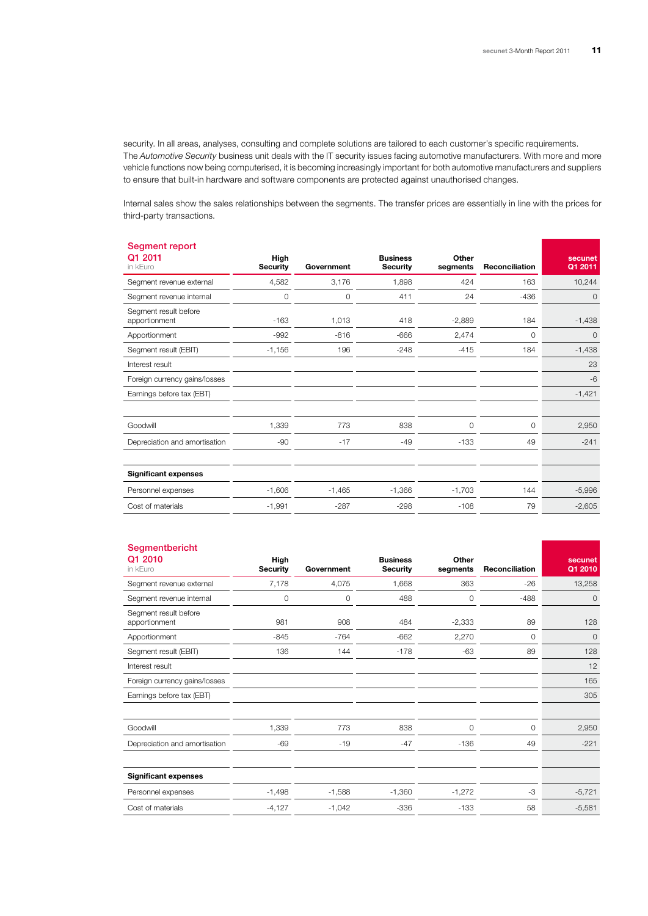security. In all areas, analyses, consulting and complete solutions are tailored to each customer's specific requirements. The *Automotive Security* business unit deals with the IT security issues facing automotive manufacturers. With more and more vehicle functions now being computerised, it is becoming increasingly important for both automotive manufacturers and suppliers to ensure that built-in hardware and software components are protected against unauthorised changes.

Internal sales show the sales relationships between the segments. The transfer prices are essentially in line with the prices for third-party transactions.

| Segment report<br>Q1 2011<br>in kEuro  | High<br><b>Security</b> | Government | <b>Business</b><br><b>Security</b> | Other<br>segments | Reconciliation | secunet<br>Q1 2011 |
|----------------------------------------|-------------------------|------------|------------------------------------|-------------------|----------------|--------------------|
| Segment revenue external               | 4,582                   | 3,176      | 1,898                              | 424               | 163            | 10,244             |
| Segment revenue internal               | $\circ$                 | $\circ$    | 411                                | 24                | $-436$         | 0                  |
| Segment result before<br>apportionment | $-163$                  | 1,013      | 418                                | $-2,889$          | 184            | $-1,438$           |
| Apportionment                          | $-992$                  | $-816$     | $-666$                             | 2,474             | $\circ$        | $\circ$            |
| Segment result (EBIT)                  | $-1,156$                | 196        | $-248$                             | $-415$            | 184            | $-1,438$           |
| Interest result                        |                         |            |                                    |                   |                | 23                 |
| Foreign currency gains/losses          |                         |            |                                    |                   |                | $-6$               |
| Earnings before tax (EBT)              |                         |            |                                    |                   |                | $-1,421$           |
|                                        |                         |            |                                    |                   |                |                    |
| Goodwill                               | 1,339                   | 773        | 838                                | $\circ$           | 0              | 2,950              |
| Depreciation and amortisation          | $-90$                   | $-17$      | $-49$                              | $-133$            | 49             | $-241$             |
|                                        |                         |            |                                    |                   |                |                    |
| <b>Significant expenses</b>            |                         |            |                                    |                   |                |                    |
| Personnel expenses                     | $-1,606$                | $-1,465$   | $-1,366$                           | $-1,703$          | 144            | $-5,996$           |
| Cost of materials                      | $-1,991$                | $-287$     | $-298$                             | $-108$            | 79             | $-2,605$           |
|                                        |                         |            |                                    |                   |                |                    |

#### Segmentbericht

| Q1 2010<br>in kEuro                    | High<br><b>Security</b> | Government | <b>Business</b><br><b>Security</b> | Other<br>segments | Reconciliation | secunet<br>Q1 2010 |
|----------------------------------------|-------------------------|------------|------------------------------------|-------------------|----------------|--------------------|
| Segment revenue external               | 7,178                   | 4,075      | 1,668                              | 363               | $-26$          | 13,258             |
| Segment revenue internal               | 0                       | 0          | 488                                | 0                 | $-488$         | $\mathbf 0$        |
| Segment result before<br>apportionment | 981                     | 908        | 484                                | $-2,333$          | 89             | 128                |
| Apportionment                          | $-845$                  | $-764$     | $-662$                             | 2,270             | 0              | $\mathbf 0$        |
| Segment result (EBIT)                  | 136                     | 144        | $-178$                             | $-63$             | 89             | 128                |
| Interest result                        |                         |            |                                    |                   |                | 12                 |
| Foreign currency gains/losses          |                         |            |                                    |                   |                | 165                |
| Earnings before tax (EBT)              |                         |            |                                    |                   |                | 305                |
|                                        |                         |            |                                    |                   |                |                    |
| Goodwill                               | 1,339                   | 773        | 838                                | 0                 | 0              | 2,950              |
| Depreciation and amortisation          | $-69$                   | $-19$      | $-47$                              | $-136$            | 49             | $-221$             |
|                                        |                         |            |                                    |                   |                |                    |
| <b>Significant expenses</b>            |                         |            |                                    |                   |                |                    |
| Personnel expenses                     | $-1,498$                | $-1,588$   | $-1,360$                           | $-1,272$          | -3             | $-5,721$           |
| Cost of materials                      | $-4,127$                | $-1,042$   | $-336$                             | $-133$            | 58             | $-5,581$           |